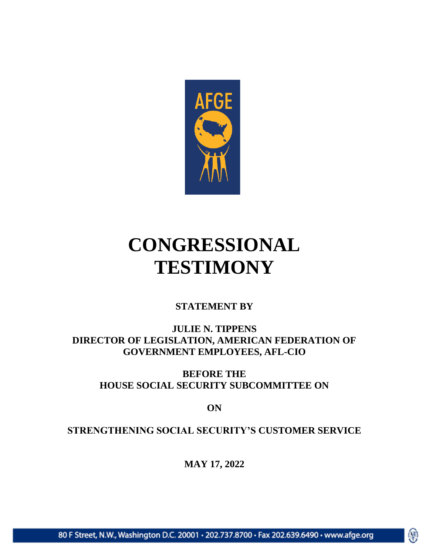

# **CONGRESSIONAL TESTIMONY**

#### **STATEMENT BY**

**JULIE N. TIPPENS DIRECTOR OF LEGISLATION, AMERICAN FEDERATION OF GOVERNMENT EMPLOYEES, AFL-CIO**

**BEFORE THE HOUSE SOCIAL SECURITY SUBCOMMITTEE ON** 

**ON**

**STRENGTHENING SOCIAL SECURITY'S CUSTOMER SERVICE**

**MAY 17, 2022**

働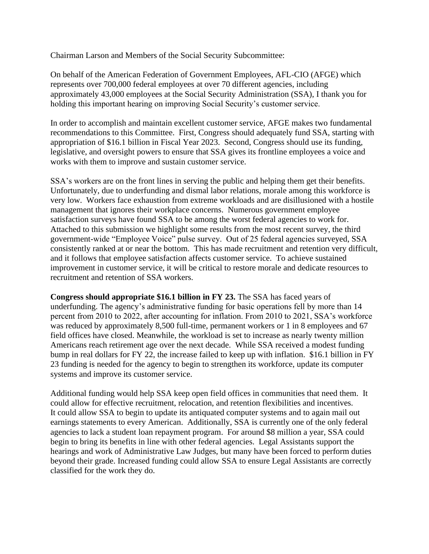Chairman Larson and Members of the Social Security Subcommittee:

On behalf of the American Federation of Government Employees, AFL-CIO (AFGE) which represents over 700,000 federal employees at over 70 different agencies, including approximately 43,000 employees at the Social Security Administration (SSA), I thank you for holding this important hearing on improving Social Security's customer service.

In order to accomplish and maintain excellent customer service, AFGE makes two fundamental recommendations to this Committee. First, Congress should adequately fund SSA, starting with appropriation of \$16.1 billion in Fiscal Year 2023. Second, Congress should use its funding, legislative, and oversight powers to ensure that SSA gives its frontline employees a voice and works with them to improve and sustain customer service.

SSA's workers are on the front lines in serving the public and helping them get their benefits. Unfortunately, due to underfunding and dismal labor relations, morale among this workforce is very low. Workers face exhaustion from extreme workloads and are disillusioned with a hostile management that ignores their workplace concerns. Numerous government employee satisfaction surveys have found SSA to be among the worst federal agencies to work for. Attached to this submission we highlight some results from the most recent survey, the third government-wide "Employee Voice" pulse survey. Out of 25 federal agencies surveyed, SSA consistently ranked at or near the bottom. This has made recruitment and retention very difficult, and it follows that employee satisfaction affects customer service. To achieve sustained improvement in customer service, it will be critical to restore morale and dedicate resources to recruitment and retention of SSA workers.

**Congress should appropriate \$16.1 billion in FY 23.** The SSA has faced years of underfunding. The agency's administrative funding for basic operations fell by more than 14 percent from 2010 to 2022, after accounting for inflation. From 2010 to 2021, SSA's workforce was reduced by approximately 8,500 full-time, permanent workers or 1 in 8 employees and 67 field offices have closed. Meanwhile, the workload is set to increase as nearly twenty million Americans reach retirement age over the next decade. While SSA received a modest funding bump in real dollars for FY 22, the increase failed to keep up with inflation. \$16.1 billion in FY 23 funding is needed for the agency to begin to strengthen its workforce, update its computer systems and improve its customer service.

Additional funding would help SSA keep open field offices in communities that need them. It could allow for effective recruitment, relocation, and retention flexibilities and incentives. It could allow SSA to begin to update its antiquated computer systems and to again mail out earnings statements to every American. Additionally, SSA is currently one of the only federal agencies to lack a student loan repayment program. For around \$8 million a year, SSA could begin to bring its benefits in line with other federal agencies. Legal Assistants support the hearings and work of Administrative Law Judges, but many have been forced to perform duties beyond their grade. Increased funding could allow SSA to ensure Legal Assistants are correctly classified for the work they do.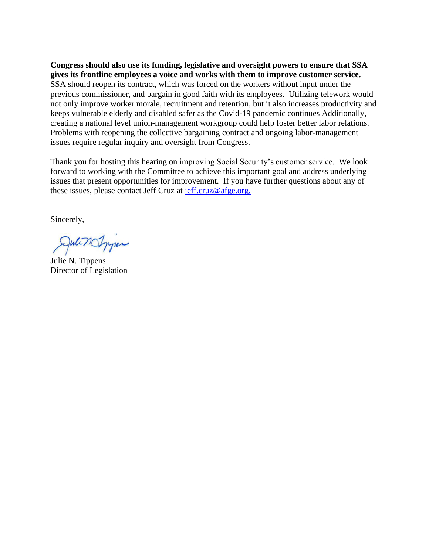**Congress should also use its funding, legislative and oversight powers to ensure that SSA gives its frontline employees a voice and works with them to improve customer service.** SSA should reopen its contract, which was forced on the workers without input under the previous commissioner, and bargain in good faith with its employees. Utilizing telework would not only improve worker morale, recruitment and retention, but it also increases productivity and keeps vulnerable elderly and disabled safer as the Covid-19 pandemic continues Additionally, creating a national level union-management workgroup could help foster better labor relations. Problems with reopening the collective bargaining contract and ongoing labor-management issues require regular inquiry and oversight from Congress.

Thank you for hosting this hearing on improving Social Security's customer service. We look forward to working with the Committee to achieve this important goal and address underlying issues that present opportunities for improvement. If you have further questions about any of these issues, please contact Jeff Cruz at  $\frac{\text{eff.cruz@afge.org.}}{\text{eff.cruz@afge.org.}}$ 

Sincerely,

JulinOmper

Julie N. Tippens Director of Legislation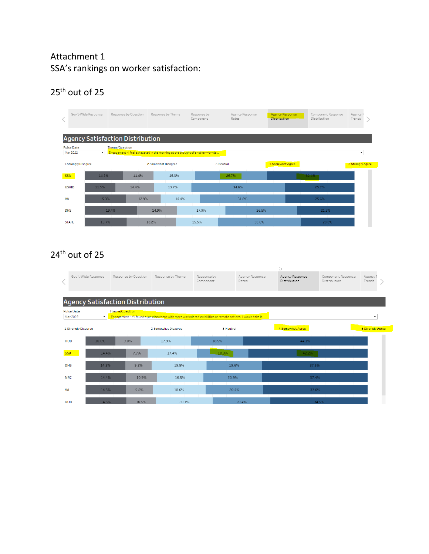#### Attachment 1 SSA's rankings on worker satisfaction:

## $25<sup>th</sup>$  out of 25

|            |                               | Gov't-Wide Response                     | Response by Question |       | Response by Theme                                                               |       | Response by<br>Component | Agency Response<br>Rates |       | Agency Response<br><b>Distribution</b> |       | Component Response<br>Distribution | Agency F<br>Trends      |  |
|------------|-------------------------------|-----------------------------------------|----------------------|-------|---------------------------------------------------------------------------------|-------|--------------------------|--------------------------|-------|----------------------------------------|-------|------------------------------------|-------------------------|--|
|            |                               | <b>Agency Satisfaction Distribution</b> |                      |       |                                                                                 |       |                          |                          |       |                                        |       |                                    |                         |  |
|            | <b>Pulse Date</b><br>Mar 2022 | $\mathbf v$                             | Theme/Question       |       | Engagement - I feel exhausted in the morning at the thought of another workday. |       |                          |                          |       |                                        |       |                                    | ٠                       |  |
|            | 1-Strongly Disagree           |                                         |                      |       | 2-Somewhat Disagree                                                             |       | 3-Neutral                |                          |       | 4-Somewhat Agree                       |       |                                    | <b>5-Strongly Agree</b> |  |
| <b>SSA</b> |                               | 14.2%                                   |                      | 11.4% | 15.3%                                                                           |       |                          | 26.7%                    |       |                                        | 32.4% |                                    |                         |  |
|            | <b>USAID</b>                  | 11.5%                                   |                      | 14.4% | 13.7%                                                                           |       |                          | 34.6%                    |       |                                        |       | 25.7%                              |                         |  |
| <b>VA</b>  |                               | 15.3%                                   |                      | 12.9% |                                                                                 | 14.4% |                          | 31.8%                    |       |                                        |       | 25.6%                              |                         |  |
| <b>DHS</b> |                               |                                         | 19.4%                |       | 14.9%                                                                           |       | 17.9%                    |                          | 26.5% |                                        |       | 21.3%                              |                         |  |
|            | <b>STATE</b>                  | 15.7%                                   |                      |       | 18.2%                                                                           | 15.5% |                          |                          | 30.6% |                                        |       | 20.0%                              |                         |  |

## 24<sup>th</sup> out of 25

|            |                                              |                      |       |                     |                                                                                                               |                          | Õ                               |                                    |                    |
|------------|----------------------------------------------|----------------------|-------|---------------------|---------------------------------------------------------------------------------------------------------------|--------------------------|---------------------------------|------------------------------------|--------------------|
|            | Gov't-Wide Response                          | Response by Question |       | Response by Theme   | Response by<br>Component                                                                                      | Agency Response<br>Rates | Agency Response<br>Distribution | Component Response<br>Distribution | Agency F<br>Trends |
|            | <b>Agency Satisfaction Distribution</b>      |                      |       |                     |                                                                                                               |                          |                                 |                                    |                    |
| Mar 2022   | <b>Pulse Date</b><br>$\overline{\mathbf{v}}$ | Theme/Question       |       |                     |                                                                                                               |                          |                                 |                                    | ٠                  |
|            |                                              |                      |       |                     | Engagement - If I found a job elsewhere with more workplace flexibilities or remote options, I would take it. |                          |                                 |                                    |                    |
|            | 1-Strongly Disagree                          |                      |       | 2-Somewhat Disagree | 3-Neutral                                                                                                     |                          | 4-Somewhat Agree                |                                    | 5-Strongly Agree   |
| <b>HUD</b> | 10.6%                                        | 9.0%                 |       | 17.9%               | 18.5%                                                                                                         |                          |                                 | 44.1%                              |                    |
| <b>SSA</b> | 14.4%                                        | 7.7%                 |       | 17.4%               | 18.3%                                                                                                         |                          |                                 | 42.2%                              |                    |
| <b>DHS</b> | 14.2%                                        | 9.2%                 |       | 19.5%               | 19.6%                                                                                                         |                          |                                 | 37.5%                              |                    |
| <b>NRC</b> | 14.4%<br>10.9%                               |                      |       | 16.5%               | 20.9%                                                                                                         |                          | 37.4%                           |                                    |                    |
| <b>VA</b>  | 14.5%                                        |                      | 9.5%  | 18.6%               | 20.4%                                                                                                         |                          |                                 | 37.0%                              |                    |
| <b>DOD</b> | 14.5%                                        |                      | 10.5% | 20.1%               |                                                                                                               | 20.4%                    |                                 | 34.5%                              |                    |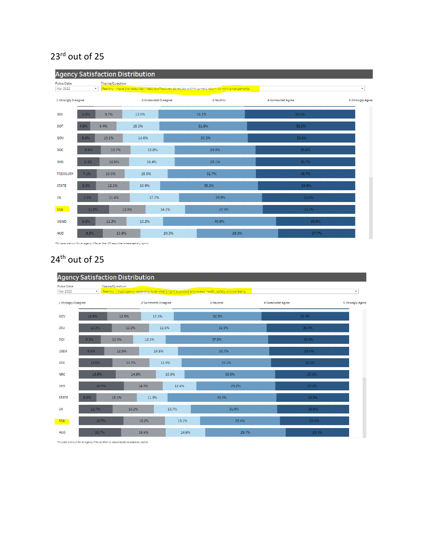### 23<sup>rd</sup> out of 25

|                               |              |                | <b>Agency Satisfaction Distribution</b> |       |                                                                                                            |                  |                          |
|-------------------------------|--------------|----------------|-----------------------------------------|-------|------------------------------------------------------------------------------------------------------------|------------------|--------------------------|
| <b>Pulse Date</b><br>Mar 2022 | $\mathbf{v}$ | Theme/Question |                                         |       | Reentry - I have the resources I need to effectively do my job within current return-to-work arrangements. |                  | $\overline{\phantom{a}}$ |
| 1-Strongly Disagree           |              |                | 2-Somewhat Disagree                     |       | 3-Neutral                                                                                                  | 4-Somewhat Agree | 5-Strongly Agree         |
| <b>DOJ</b>                    | 6.6%         | 9.7%           | 13.0%                                   |       | 31.1%                                                                                                      | 39.6%            |                          |
| <b>DOT</b>                    | 4.8%         | 9.4%           | 15.3%                                   |       | 31.6%                                                                                                      | 38.8%            |                          |
| GOV                           | 6.4%         | 10.1%          | 14.6%                                   |       | 30.3%                                                                                                      | 38.6%            |                          |
| <b>DOC</b>                    | 8.6%         | 10.7%          | 15.8%                                   |       | 29.0%                                                                                                      | 35.8%            |                          |
| <b>DHS</b>                    | 8.1%         | 10.6%          | 16.4%                                   |       | 29.1%                                                                                                      | 35.7%            |                          |
| <b>TREASURY</b>               | 7.1%         | 10.0%          | 15.5%                                   |       | 31.7%                                                                                                      | 35.7%            |                          |
| <b>STATE</b>                  | 6.8%         | 12.1%          | 10.9%                                   |       | 35.2%                                                                                                      | 34.9%            |                          |
| VA                            | 7.6%         | 11.4%          | 17.7%                                   |       | 29.8%                                                                                                      | 33.5%            |                          |
| <b>SSA</b>                    | 11.6%        |                | 13.0%                                   | 14.2% | 27.9%                                                                                                      | 33.2%            |                          |
| <b>USAID</b>                  | 6.6%         | 11.3%          | 13.2%                                   |       | 40.6%                                                                                                      | 28.5%            |                          |
| <b>HUD</b>                    | 9.2%         | 13.5%          |                                         | 20.3% | 29.3%                                                                                                      | 27.7%            |                          |

\*No data is shown for an agency if fewer than 10 respondents selected any option.

## 24<sup>th</sup> out of 25

|                               | <b>Agency Satisfaction Distribution</b> |                |       |                     |       |                                                                                                             |       |                  |       |                  |
|-------------------------------|-----------------------------------------|----------------|-------|---------------------|-------|-------------------------------------------------------------------------------------------------------------|-------|------------------|-------|------------------|
| <b>Pulse Date</b><br>Mar 2022 | $\mathbf{v}$                            | Theme/Question |       |                     |       | Reentry - I trust agency leadership to do what's right to protect employees' health, safety, and wellbeing. |       |                  |       | ۰                |
| 1-Strongly Disagree           |                                         |                |       | 2-Somewhat Disagree |       | 3-Neutral                                                                                                   |       | 4-Somewhat Agree |       | 5-Strongly Agree |
| GOV                           | 10.6%                                   | 12.5%          |       | 12.1%               |       | 32.3%                                                                                                       |       |                  | 32.4% |                  |
| <b>DOJ</b>                    | 12.3%                                   | 13.8%          |       | 11.6%               |       | 31.9%                                                                                                       |       |                  | 30.4% |                  |
| <b>DOI</b>                    | 8.3%                                    | 11.9%          | 12.1% |                     |       | 37.8%                                                                                                       |       |                  | 29.9% |                  |
| <b>USDA</b>                   | 9.5%                                    | 12.9%          |       | 14.5%               |       | 33.7%                                                                                                       |       |                  | 29.4% |                  |
| <b>DOC</b>                    | 12.6%                                   | 13.7%          |       | 11.9%               |       | 33.1%                                                                                                       |       |                  | 28.8% |                  |
| <b>NRC</b>                    | 13.9%                                   |                | 14.8% | 10.6%               |       | 33.5%                                                                                                       |       |                  | 27.3% |                  |
| <b>DHS</b>                    | 16.9%                                   |                | 14.3% | 12.4%               |       |                                                                                                             | 29.2% |                  | 27.2% |                  |
| <b>STATE</b>                  | 6.6%                                    | 15.1%          | 11.3% |                     |       | 40.2%                                                                                                       |       |                  | 26.9% |                  |
| VA                            | 12.7%                                   |                | 15.2% | 13.7%               |       |                                                                                                             | 31.9% |                  | 26.6% |                  |
| <b>SSA</b>                    | 16.7%                                   |                | 15.2% |                     | 13.1% |                                                                                                             | 29.4% |                  | 25.6% |                  |
| <b>HUD</b>                    | 15.7%                                   |                | 16.6% |                     | 14.6% |                                                                                                             | 29.7% |                  | 23.4% |                  |

\*No data is shown for an agency if fewer than 10 respondents selected any option.